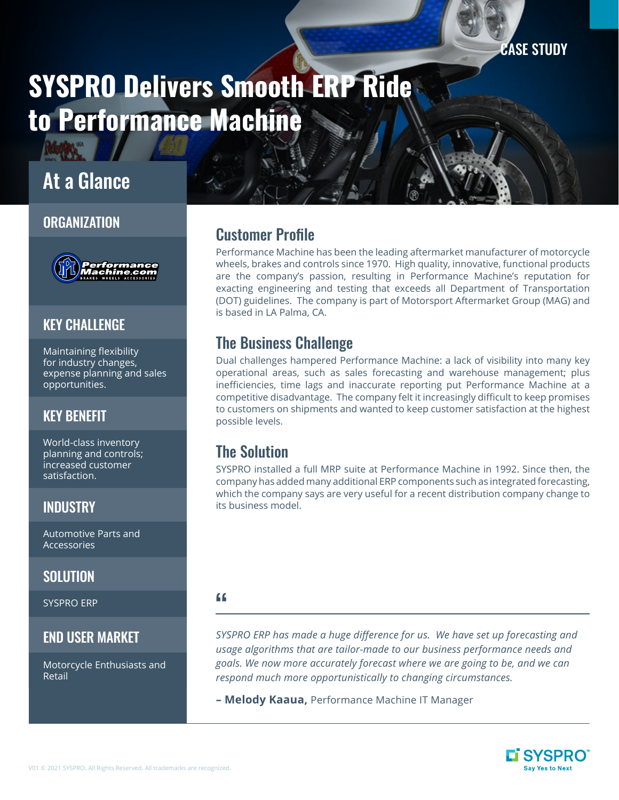CASE STUDY

# SYSPRO Delivers Smooth ERP Ride to Performance Machine

# At a Glance

#### **ORGANIZATION**



#### **KEY CHALLENGE**

Maintaining flexibility for industry changes, expense planning and sales opportunities.

# KEY BENEFIT

World-class inventory planning and controls; increased customer satisfaction.

## **INDUSTRY**

Automotive Parts and Accessories

#### **SOLUTION**

SYSPRO ERP

#### END USER MARKET

Motorcycle Enthusiasts and Retail

# Customer Profile

Performance Machine has been the leading aftermarket manufacturer of motorcycle wheels, brakes and controls since 1970. High quality, innovative, functional products are the company's passion, resulting in Performance Machine's reputation for exacting engineering and testing that exceeds all Department of Transportation (DOT) guidelines. The company is part of Motorsport Aftermarket Group (MAG) and is based in LA Palma, CA.

# The Business Challenge

Dual challenges hampered Performance Machine: a lack of visibility into many key operational areas, such as sales forecasting and warehouse management; plus inefficiencies, time lags and inaccurate reporting put Performance Machine at a competitive disadvantage. The company felt it increasingly difficult to keep promises to customers on shipments and wanted to keep customer satisfaction at the highest possible levels.

# The Solution

SYSPRO installed a full MRP suite at Performance Machine in 1992. Since then, the company has added many additional ERP components such as integrated forecasting, which the company says are very useful for a recent distribution company change to its business model.

#### $\epsilon$

*SYSPRO ERP has made a huge difference for us. We have set up forecasting and usage algorithms that are tailor-made to our business performance needs and goals. We now more accurately forecast where we are going to be, and we can respond much more opportunistically to changing circumstances.*

**– Melody Kaaua,** Performance Machine IT Manager

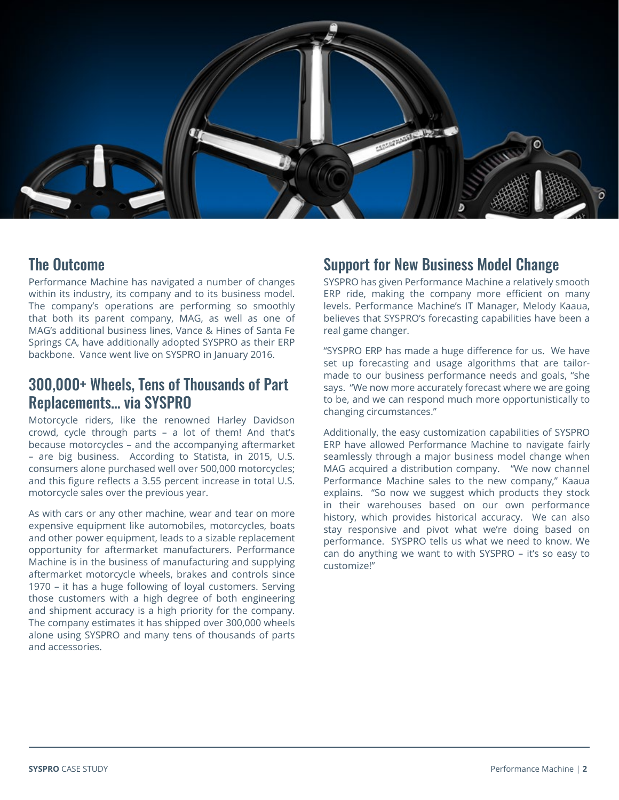

#### The Outcome

Performance Machine has navigated a number of changes within its industry, its company and to its business model. The company's operations are performing so smoothly that both its parent company, MAG, as well as one of MAG's additional business lines, Vance & Hines of Santa Fe Springs CA, have additionally adopted SYSPRO as their ERP backbone. Vance went live on SYSPRO in January 2016.

### 300,000+ Wheels, Tens of Thousands of Part Replacements… via SYSPRO

Motorcycle riders, like the renowned Harley Davidson crowd, cycle through parts – a lot of them! And that's because motorcycles – and the accompanying aftermarket – are big business. According to Statista, in 2015, U.S. consumers alone purchased well over 500,000 motorcycles; and this figure reflects a 3.55 percent increase in total U.S. motorcycle sales over the previous year.

As with cars or any other machine, wear and tear on more expensive equipment like automobiles, motorcycles, boats and other power equipment, leads to a sizable replacement opportunity for aftermarket manufacturers. Performance Machine is in the business of manufacturing and supplying aftermarket motorcycle wheels, brakes and controls since 1970 – it has a huge following of loyal customers. Serving those customers with a high degree of both engineering and shipment accuracy is a high priority for the company. The company estimates it has shipped over 300,000 wheels alone using SYSPRO and many tens of thousands of parts and accessories.

#### Support for New Business Model Change

SYSPRO has given Performance Machine a relatively smooth ERP ride, making the company more efficient on many levels. Performance Machine's IT Manager, Melody Kaaua, believes that SYSPRO's forecasting capabilities have been a real game changer.

"SYSPRO ERP has made a huge difference for us. We have set up forecasting and usage algorithms that are tailormade to our business performance needs and goals, "she says. "We now more accurately forecast where we are going to be, and we can respond much more opportunistically to changing circumstances."

Additionally, the easy customization capabilities of SYSPRO ERP have allowed Performance Machine to navigate fairly seamlessly through a major business model change when MAG acquired a distribution company. "We now channel Performance Machine sales to the new company," Kaaua explains. "So now we suggest which products they stock in their warehouses based on our own performance history, which provides historical accuracy. We can also stay responsive and pivot what we're doing based on performance. SYSPRO tells us what we need to know. We can do anything we want to with SYSPRO – it's so easy to customize!"